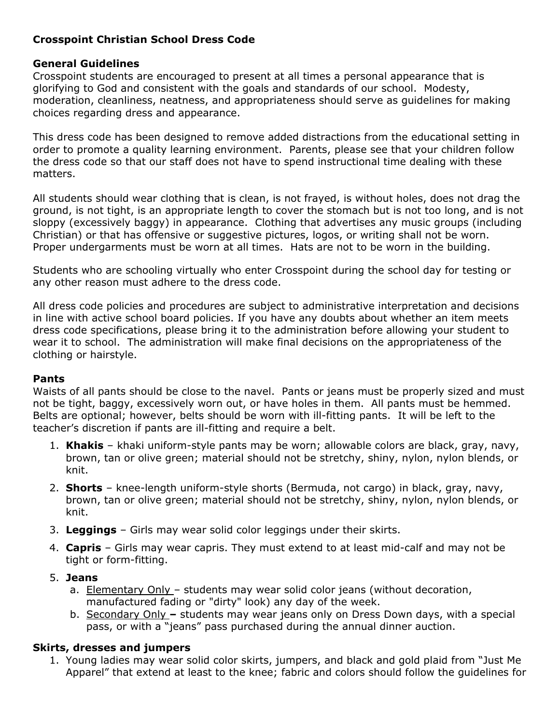# **Crosspoint Christian School Dress Code**

### **General Guidelines**

Crosspoint students are encouraged to present at all times a personal appearance that is glorifying to God and consistent with the goals and standards of our school. Modesty, moderation, cleanliness, neatness, and appropriateness should serve as guidelines for making choices regarding dress and appearance.

This dress code has been designed to remove added distractions from the educational setting in order to promote a quality learning environment. Parents, please see that your children follow the dress code so that our staff does not have to spend instructional time dealing with these matters.

All students should wear clothing that is clean, is not frayed, is without holes, does not drag the ground, is not tight, is an appropriate length to cover the stomach but is not too long, and is not sloppy (excessively baggy) in appearance. Clothing that advertises any music groups (including Christian) or that has offensive or suggestive pictures, logos, or writing shall not be worn. Proper undergarments must be worn at all times. Hats are not to be worn in the building.

Students who are schooling virtually who enter Crosspoint during the school day for testing or any other reason must adhere to the dress code.

All dress code policies and procedures are subject to administrative interpretation and decisions in line with active school board policies. If you have any doubts about whether an item meets dress code specifications, please bring it to the administration before allowing your student to wear it to school. The administration will make final decisions on the appropriateness of the clothing or hairstyle.

#### **Pants**

Waists of all pants should be close to the navel. Pants or jeans must be properly sized and must not be tight, baggy, excessively worn out, or have holes in them. All pants must be hemmed. Belts are optional; however, belts should be worn with ill-fitting pants. It will be left to the teacher's discretion if pants are ill-fitting and require a belt.

- 1. **Khakis** khaki uniform-style pants may be worn; allowable colors are black, gray, navy, brown, tan or olive green; material should not be stretchy, shiny, nylon, nylon blends, or knit.
- 2. **Shorts** knee-length uniform-style shorts (Bermuda, not cargo) in black, gray, navy, brown, tan or olive green; material should not be stretchy, shiny, nylon, nylon blends, or knit.
- 3. **Leggings** Girls may wear solid color leggings under their skirts.
- 4. **Capris** Girls may wear capris. They must extend to at least mid-calf and may not be tight or form-fitting.

## 5. **Jeans**

- a. Elementary Only students may wear solid color jeans (without decoration, manufactured fading or "dirty" look) any day of the week.
- b. Secondary Only students may wear jeans only on Dress Down days, with a special pass, or with a "jeans" pass purchased during the annual dinner auction.

## **Skirts, dresses and jumpers**

1. Young ladies may wear solid color skirts, jumpers, and black and gold plaid from "Just Me Apparel" that extend at least to the knee; fabric and colors should follow the guidelines for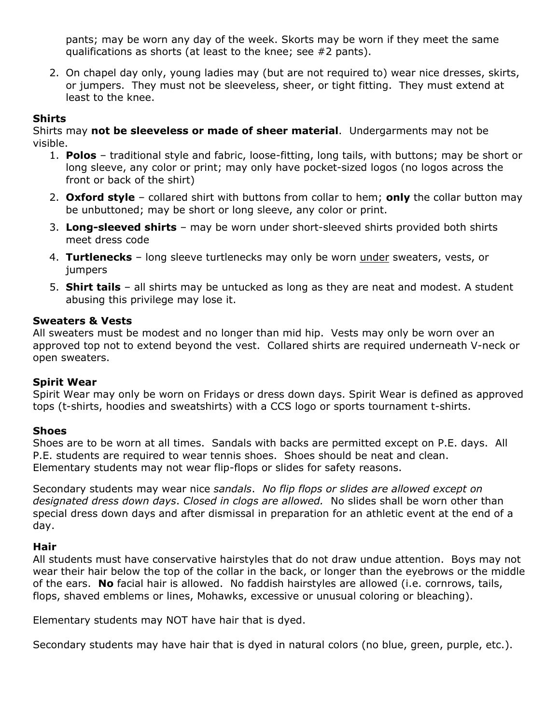pants; may be worn any day of the week. Skorts may be worn if they meet the same qualifications as shorts (at least to the knee; see #2 pants).

2. On chapel day only, young ladies may (but are not required to) wear nice dresses, skirts, or jumpers. They must not be sleeveless, sheer, or tight fitting. They must extend at least to the knee.

### **Shirts**

Shirts may **not be sleeveless or made of sheer material**. Undergarments may not be visible.

- 1. **Polos** traditional style and fabric, loose-fitting, long tails, with buttons; may be short or long sleeve, any color or print; may only have pocket-sized logos (no logos across the front or back of the shirt)
- 2. **Oxford style** collared shirt with buttons from collar to hem; **only** the collar button may be unbuttoned; may be short or long sleeve, any color or print.
- 3. **Long-sleeved shirts** may be worn under short-sleeved shirts provided both shirts meet dress code
- 4. **Turtlenecks** long sleeve turtlenecks may only be worn under sweaters, vests, or jumpers
- 5. **Shirt tails**  all shirts may be untucked as long as they are neat and modest. A student abusing this privilege may lose it.

#### **Sweaters & Vests**

All sweaters must be modest and no longer than mid hip. Vests may only be worn over an approved top not to extend beyond the vest. Collared shirts are required underneath V-neck or open sweaters.

## **Spirit Wear**

Spirit Wear may only be worn on Fridays or dress down days. Spirit Wear is defined as approved tops (t-shirts, hoodies and sweatshirts) with a CCS logo or sports tournament t-shirts.

## **Shoes**

Shoes are to be worn at all times. Sandals with backs are permitted except on P.E. days. All P.E. students are required to wear tennis shoes. Shoes should be neat and clean. Elementary students may not wear flip-flops or slides for safety reasons.

Secondary students may wear nice *sandals*. *No flip flops or slides are allowed except on designated dress down days*. *Closed in clogs are allowed.* No slides shall be worn other than special dress down days and after dismissal in preparation for an athletic event at the end of a day.

#### **Hair**

All students must have conservative hairstyles that do not draw undue attention. Boys may not wear their hair below the top of the collar in the back, or longer than the eyebrows or the middle of the ears. **No** facial hair is allowed. No faddish hairstyles are allowed (i.e. cornrows, tails, flops, shaved emblems or lines, Mohawks, excessive or unusual coloring or bleaching).

Elementary students may NOT have hair that is dyed.

Secondary students may have hair that is dyed in natural colors (no blue, green, purple, etc.).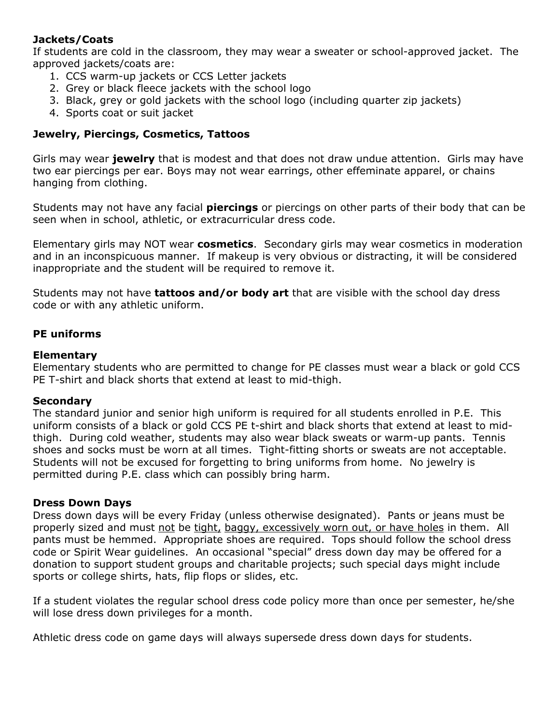## **Jackets/Coats**

If students are cold in the classroom, they may wear a sweater or school-approved jacket. The approved jackets/coats are:

- 1. CCS warm-up jackets or CCS Letter jackets
- 2. Grey or black fleece jackets with the school logo
- 3. Black, grey or gold jackets with the school logo (including quarter zip jackets)
- 4. Sports coat or suit jacket

### **Jewelry, Piercings, Cosmetics, Tattoos**

Girls may wear **jewelry** that is modest and that does not draw undue attention. Girls may have two ear piercings per ear. Boys may not wear earrings, other effeminate apparel, or chains hanging from clothing.

Students may not have any facial **piercings** or piercings on other parts of their body that can be seen when in school, athletic, or extracurricular dress code.

Elementary girls may NOT wear **cosmetics**. Secondary girls may wear cosmetics in moderation and in an inconspicuous manner. If makeup is very obvious or distracting, it will be considered inappropriate and the student will be required to remove it.

Students may not have **tattoos and/or body art** that are visible with the school day dress code or with any athletic uniform.

### **PE uniforms**

### **Elementary**

Elementary students who are permitted to change for PE classes must wear a black or gold CCS PE T-shirt and black shorts that extend at least to mid-thigh.

#### **Secondary**

The standard junior and senior high uniform is required for all students enrolled in P.E. This uniform consists of a black or gold CCS PE t-shirt and black shorts that extend at least to midthigh. During cold weather, students may also wear black sweats or warm-up pants. Tennis shoes and socks must be worn at all times. Tight-fitting shorts or sweats are not acceptable. Students will not be excused for forgetting to bring uniforms from home. No jewelry is permitted during P.E. class which can possibly bring harm.

#### **Dress Down Days**

Dress down days will be every Friday (unless otherwise designated). Pants or jeans must be properly sized and must not be tight, baggy, excessively worn out, or have holes in them. All pants must be hemmed. Appropriate shoes are required. Tops should follow the school dress code or Spirit Wear guidelines. An occasional "special" dress down day may be offered for a donation to support student groups and charitable projects; such special days might include sports or college shirts, hats, flip flops or slides, etc.

If a student violates the regular school dress code policy more than once per semester, he/she will lose dress down privileges for a month.

Athletic dress code on game days will always supersede dress down days for students.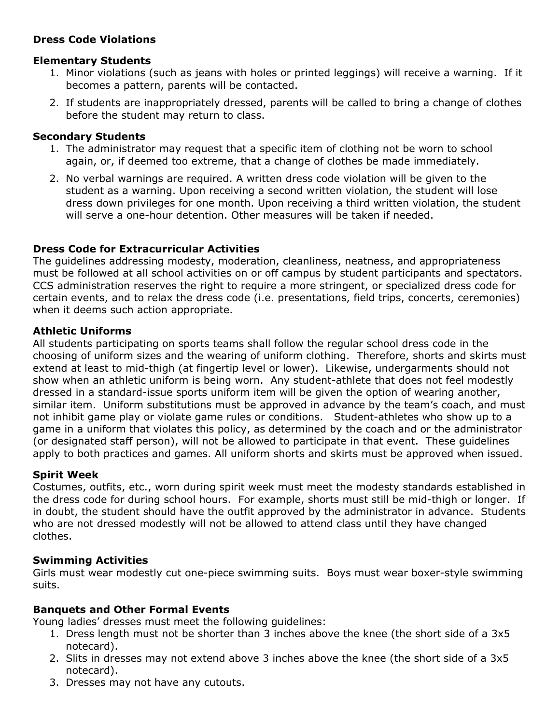# **Dress Code Violations**

## **Elementary Students**

- 1. Minor violations (such as jeans with holes or printed leggings) will receive a warning. If it becomes a pattern, parents will be contacted.
- 2. If students are inappropriately dressed, parents will be called to bring a change of clothes before the student may return to class.

## **Secondary Students**

- 1. The administrator may request that a specific item of clothing not be worn to school again, or, if deemed too extreme, that a change of clothes be made immediately.
- 2. No verbal warnings are required. A written dress code violation will be given to the student as a warning. Upon receiving a second written violation, the student will lose dress down privileges for one month. Upon receiving a third written violation, the student will serve a one-hour detention. Other measures will be taken if needed.

# **Dress Code for Extracurricular Activities**

The guidelines addressing modesty, moderation, cleanliness, neatness, and appropriateness must be followed at all school activities on or off campus by student participants and spectators. CCS administration reserves the right to require a more stringent, or specialized dress code for certain events, and to relax the dress code (i.e. presentations, field trips, concerts, ceremonies) when it deems such action appropriate.

# **Athletic Uniforms**

All students participating on sports teams shall follow the regular school dress code in the choosing of uniform sizes and the wearing of uniform clothing. Therefore, shorts and skirts must extend at least to mid-thigh (at fingertip level or lower). Likewise, undergarments should not show when an athletic uniform is being worn. Any student-athlete that does not feel modestly dressed in a standard-issue sports uniform item will be given the option of wearing another, similar item. Uniform substitutions must be approved in advance by the team's coach, and must not inhibit game play or violate game rules or conditions. Student-athletes who show up to a game in a uniform that violates this policy, as determined by the coach and or the administrator (or designated staff person), will not be allowed to participate in that event. These guidelines apply to both practices and games. All uniform shorts and skirts must be approved when issued.

# **Spirit Week**

Costumes, outfits, etc., worn during spirit week must meet the modesty standards established in the dress code for during school hours. For example, shorts must still be mid-thigh or longer. If in doubt, the student should have the outfit approved by the administrator in advance. Students who are not dressed modestly will not be allowed to attend class until they have changed clothes.

## **Swimming Activities**

Girls must wear modestly cut one-piece swimming suits. Boys must wear boxer-style swimming suits.

## **Banquets and Other Formal Events**

Young ladies' dresses must meet the following guidelines:

- 1. Dress length must not be shorter than 3 inches above the knee (the short side of a 3x5 notecard).
- 2. Slits in dresses may not extend above 3 inches above the knee (the short side of a 3x5 notecard).
- 3. Dresses may not have any cutouts.